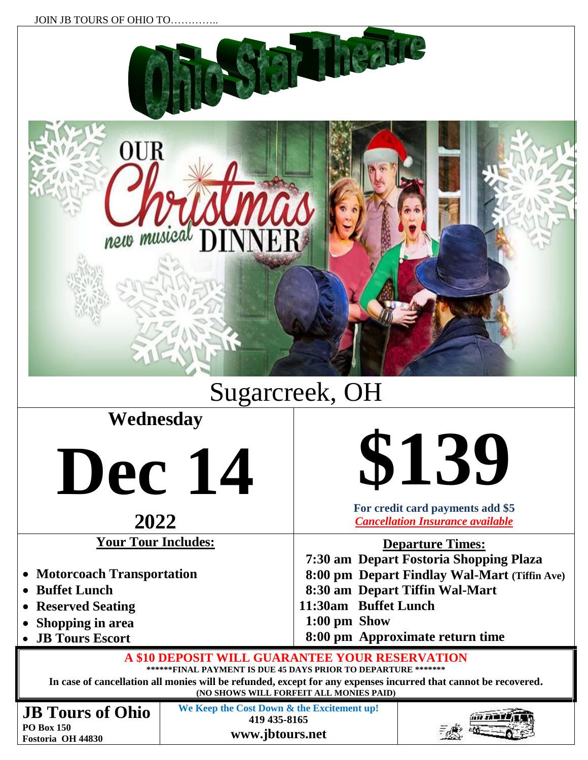



## Sugarcreek, OH

## **Wednesday**

**Dec 14**

## **2022**

**Your Tour Includes:**

- **Motorcoach Transportation**
- **Buffet Lunch**
- **Reserved Seating**
- **Shopping in area**
- **JB Tours Escort**



**For credit card payments add \$5** *Cancellation Insurance available*

**Departure Times:**

 **7:30 am Depart Fostoria Shopping Plaza 8:00 pm Depart Findlay Wal-Mart (Tiffin Ave) 8:30 am Depart Tiffin Wal-Mart 11:30am Buffet Lunch**

- **1:00 pm Show**
- **8:00 pm Approximate return time**

**A \$10 DEPOSIT WILL GUARANTEE YOUR RESERVATION**

**\*\*\*\*\*\*FINAL PAYMENT IS DUE 45 DAYS PRIOR TO DEPARTURE \*\*\*\*\*\*\***

**In case of cancellation all monies will be refunded, except for any expenses incurred that cannot be recovered. (NO SHOWS WILL FORFEIT ALL MONIES PAID)**

**JB Tours of Ohio PO Box 150 Fostoria OH 44830**

**We Keep the Cost Down & the Excitement up! 419 435-8165 www.jbtours.net**